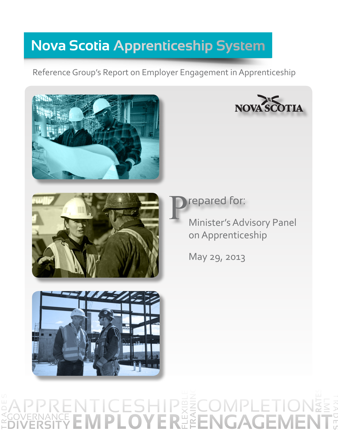# **Nova Scotia Apprenticeship System**

Reference Group's Report on Employer Engagement in Apprenticeship







repared for:

Minister's Advisory Panel on Apprenticeship

May 29, 2013



#### T R A D E S **DIVERSITYEMPLOYER** FLEXIBLE **TRAINING** APPRENTICESHIP **ENGAGEMENT COMPLETION GOVERNANCE RATES**  $\leq$  ADEUN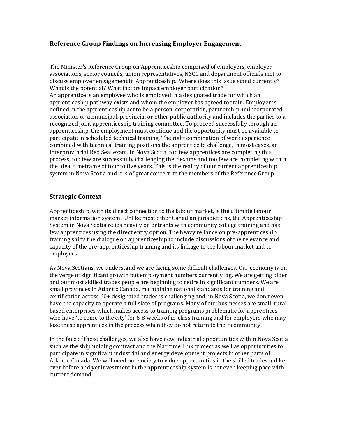# **Reference Group Findings on Increasing Employer Engagement**

The Minister's Reference Group on Apprenticeship comprised of employers, employer associations, sector councils, union representatives, NSCC and department officials met to discuss employer engagement in Apprenticeship. Where does this issue stand currently? What is the potential? What factors impact employer participation? An apprentice is an employee who is employed in a designated trade for which an apprenticeship pathway exists and whom the employer has agreed to train. Employer is defined in the apprenticeship act to be a person, corporation, partnership, unincorporated association or a municipal, provincial or other public authority and includes the parties to a recognized joint apprenticeship training committee. To proceed successfully through an apprenticeship, the employment must continue and the opportunity must be available to participate in scheduled technical training. The right combination of work experience combined with technical training positions the apprentice to challenge, in most cases, an interprovincial Red Seal exam. In Nova Scotia, too few apprentices are completing this process, too few are successfully challenging their exams and too few are completing within the ideal timeframe of four to five years. This is the reality of our current apprenticeship system in Nova Scotia and it is of great concern to the members of the Reference Group.

# **Strategic Context**

Apprenticeship, with its direct connection to the labour market, is the ultimate labour market information system. Unlike most other Canadian jurisdictions, the Apprenticeship System in Nova Scotia relies heavily on entrants with community college training and has few apprentices using the direct entry option. The heavy reliance on pre-apprenticeship training shifts the dialogue on apprenticeship to include discussions of the relevance and capacity of the pre-apprenticeship training and its linkage to the labour market and to employers.

As Nova Scotians, we understand we are facing some difficult challenges. Our economy is on the verge of significant growth but employment numbers currently lag. We are getting older and our most skilled trades people are beginning to retire in significant numbers. We are small provinces in Atlantic Canada, maintaining national standards for training and certification across 60+ designated trades is challenging and, in Nova Scotia, we don't even have the capacity to operate a full slate of programs. Many of our businesses are small, rural based enterprises which makes access to training programs problematic for apprentices who have 'to come to the city' for 6-8 weeks of in-class training and for employers who may lose these apprentices in the process when they do not return to their community.

In the face of these challenges, we also have new industrial opportunities within Nova Scotia such as the shipbuilding contract and the Maritime Link project as well as opportunities to participate in significant industrial and energy development projects in other parts of Atlantic Canada. We will need our society to value opportunities in the skilled trades unlike ever before and yet investment in the apprenticeship system is not even keeping pace with current demand.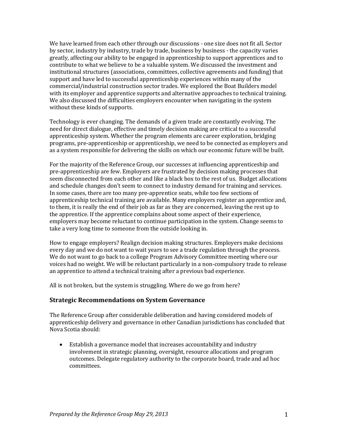We have learned from each other through our discussions - one size does not fit all. Sector by sector, industry by industry, trade by trade, business by business - the capacity varies greatly, affecting our ability to be engaged in apprenticeship to support apprentices and to contribute to what we believe to be a valuable system. We discussed the investment and institutional structures (associations, committees, collective agreements and funding) that support and have led to successful apprenticeship experiences within many of the commercial/industrial construction sector trades. We explored the Boat Builders model with its employer and apprentice supports and alternative approaches to technical training. We also discussed the difficulties employers encounter when navigating in the system without these kinds of supports.

Technology is ever changing. The demands of a given trade are constantly evolving. The need for direct dialogue, effective and timely decision making are critical to a successful apprenticeship system. Whether the program elements are career exploration, bridging programs, pre-apprenticeship or apprenticeship, we need to be connected as employers and as a system responsible for delivering the skills on which our economic future will be built.

For the majority of the Reference Group, our successes at influencing apprenticeship and pre-apprenticeship are few. Employers are frustrated by decision making processes that seem disconnected from each other and like a black box to the rest of us. Budget allocations and schedule changes don't seem to connect to industry demand for training and services. In some cases, there are too many pre-apprentice seats, while too few sections of apprenticeship technical training are available. Many employers register an apprentice and, to them, it is really the end of their job as far as they are concerned, leaving the rest up to the apprentice. If the apprentice complains about some aspect of their experience, employers may become reluctant to continue participation in the system. Change seems to take a very long time to someone from the outside looking in.

How to engage employers? Realign decision making structures. Employers make decisions every day and we do not want to wait years to see a trade regulation through the process. We do not want to go back to a college Program Advisory Committee meeting where our voices had no weight. We will be reluctant particularly in a non-compulsory trade to release an apprentice to attend a technical training after a previous bad experience.

All is not broken, but the system is struggling. Where do we go from here?

# **Strategic Recommendations on System Governance**

The Reference Group after considerable deliberation and having considered models of apprenticeship delivery and governance in other Canadian jurisdictions has concluded that Nova Scotia should:

• Establish a governance model that increases accountability and industry involvement in strategic planning, oversight, resource allocations and program outcomes. Delegate regulatory authority to the corporate board, trade and ad hoc committees.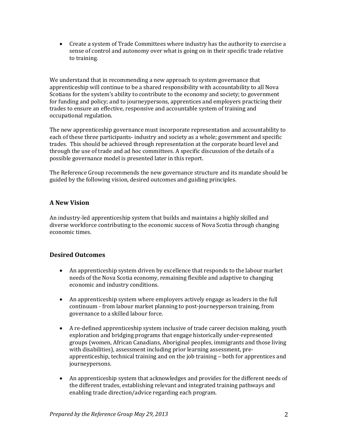• Create a system of Trade Committees where industry has the authority to exercise a sense of control and autonomy over what is going on in their specific trade relative to training.

We understand that in recommending a new approach to system governance that apprenticeship will continue to be a shared responsibility with accountability to all Nova Scotians for the system's ability to contribute to the economy and society; to government for funding and policy; and to journeypersons, apprentices and employers practicing their trades to ensure an effective, responsive and accountable system of training and occupational regulation.

The new apprenticeship governance must incorporate representation and accountability to each of these three participants- industry and society as a whole; government and specific trades. This should be achieved through representation at the corporate board level and through the use of trade and ad hoc committees. A specific discussion of the details of a possible governance model is presented later in this report.

The Reference Group recommends the new governance structure and its mandate should be guided by the following vision, desired outcomes and guiding principles.

# **A New Vision**

An industry-led apprenticeship system that builds and maintains a highly skilled and diverse workforce contributing to the economic success of Nova Scotia through changing economic times.

# **Desired Outcomes**

- An apprenticeship system driven by excellence that responds to the labour market needs of the Nova Scotia economy, remaining flexible and adaptive to changing economic and industry conditions.
- An apprenticeship system where employers actively engage as leaders in the full continuum - from labour market planning to post-journeyperson training, from governance to a skilled labour force.
- A re-defined apprenticeship system inclusive of trade career decision making, youth exploration and bridging programs that engage historically under-represented groups (women, African Canadians, Aboriginal peoples, immigrants and those living with disabilities), assessment including prior learning assessment, preapprenticeship, technical training and on the job training – both for apprentices and journeypersons.
- An apprenticeship system that acknowledges and provides for the different needs of the different trades, establishing relevant and integrated training pathways and enabling trade direction/advice regarding each program.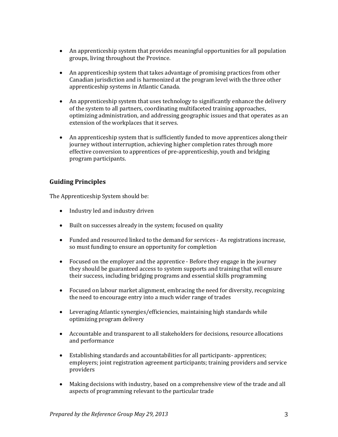- An apprenticeship system that provides meaningful opportunities for all population groups, living throughout the Province.
- An apprenticeship system that takes advantage of promising practices from other Canadian jurisdiction and is harmonized at the program level with the three other apprenticeship systems in Atlantic Canada.
- An apprenticeship system that uses technology to significantly enhance the delivery of the system to all partners, coordinating multifaceted training approaches, optimizing administration, and addressing geographic issues and that operates as an extension of the workplaces that it serves.
- An apprenticeship system that is sufficiently funded to move apprentices along their journey without interruption, achieving higher completion rates through more effective conversion to apprentices of pre-apprenticeship, youth and bridging program participants.

# **Guiding Principles**

The Apprenticeship System should be:

- Industry led and industry driven
- Built on successes already in the system; focused on quality
- Funded and resourced linked to the demand for services As registrations increase, so must funding to ensure an opportunity for completion
- Focused on the employer and the apprentice Before they engage in the journey they should be guaranteed access to system supports and training that will ensure their success, including bridging programs and essential skills programming
- Focused on labour market alignment, embracing the need for diversity, recognizing the need to encourage entry into a much wider range of trades
- Leveraging Atlantic synergies/efficiencies, maintaining high standards while optimizing program delivery
- Accountable and transparent to all stakeholders for decisions, resource allocations and performance
- Establishing standards and accountabilities for all participants- apprentices; employers; joint registration agreement participants; training providers and service providers
- Making decisions with industry, based on a comprehensive view of the trade and all aspects of programming relevant to the particular trade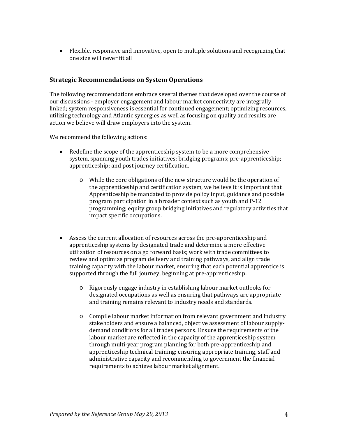• Flexible, responsive and innovative, open to multiple solutions and recognizing that one size will never fit all

# **Strategic Recommendations on System Operations**

The following recommendations embrace several themes that developed over the course of our discussions - employer engagement and labour market connectivity are integrally linked; system responsiveness is essential for continued engagement; optimizing resources, utilizing technology and Atlantic synergies as well as focusing on quality and results are action we believe will draw employers into the system.

We recommend the following actions:

- Redefine the scope of the apprenticeship system to be a more comprehensive system, spanning youth trades initiatives; bridging programs; pre-apprenticeship; apprenticeship; and post journey certification.
	- o While the core obligations of the new structure would be the operation of the apprenticeship and certification system, we believe it is important that Apprenticeship be mandated to provide policy input, guidance and possible program participation in a broader context such as youth and P-12 programming; equity group bridging initiatives and regulatory activities that impact specific occupations.
- Assess the current allocation of resources across the pre-apprenticeship and apprenticeship systems by designated trade and determine a more effective utilization of resources on a go forward basis; work with trade committees to review and optimize program delivery and training pathways, and align trade training capacity with the labour market, ensuring that each potential apprentice is supported through the full journey, beginning at pre-apprenticeship.
	- o Rigorously engage industry in establishing labour market outlooks for designated occupations as well as ensuring that pathways are appropriate and training remains relevant to industry needs and standards.
	- o Compile labour market information from relevant government and industry stakeholders and ensure a balanced, objective assessment of labour supplydemand conditions for all trades persons. Ensure the requirements of the labour market are reflected in the capacity of the apprenticeship system through multi-year program planning for both pre-apprenticeship and apprenticeship technical training; ensuring appropriate training, staff and administrative capacity and recommending to government the financial requirements to achieve labour market alignment.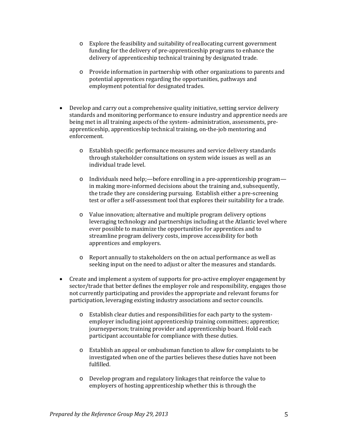- o Explore the feasibility and suitability of reallocating current government funding for the delivery of pre-apprenticeship programs to enhance the delivery of apprenticeship technical training by designated trade.
- o Provide information in partnership with other organizations to parents and potential apprentices regarding the opportunities, pathways and employment potential for designated trades.
- Develop and carry out a comprehensive quality initiative, setting service delivery standards and monitoring performance to ensure industry and apprentice needs are being met in all training aspects of the system- administration, assessments, preapprenticeship, apprenticeship technical training, on-the-job mentoring and enforcement.
	- o Establish specific performance measures and service delivery standards through stakeholder consultations on system wide issues as well as an individual trade level.
	- o Individuals need help;—before enrolling in a pre-apprenticeship program in making more-informed decisions about the training and, subsequently, the trade they are considering pursuing. Establish either a pre-screening test or offer a self-assessment tool that explores their suitability for a trade.
	- o Value innovation; alternative and multiple program delivery options leveraging technology and partnerships including at the Atlantic level where ever possible to maximize the opportunities for apprentices and to streamline program delivery costs, improve accessibility for both apprentices and employers.
	- o Report annually to stakeholders on the on actual performance as well as seeking input on the need to adjust or alter the measures and standards.
- Create and implement a system of supports for pro-active employer engagement by sector/trade that better defines the employer role and responsibility, engages those not currently participating and provides the appropriate and relevant forums for participation, leveraging existing industry associations and sector councils.
	- o Establish clear duties and responsibilities for each party to the systememployer including joint apprenticeship training committees; apprentice; journeyperson; training provider and apprenticeship board. Hold each participant accountable for compliance with these duties.
	- o Establish an appeal or ombudsman function to allow for complaints to be investigated when one of the parties believes these duties have not been fulfilled.
	- o Develop program and regulatory linkages that reinforce the value to employers of hosting apprenticeship whether this is through the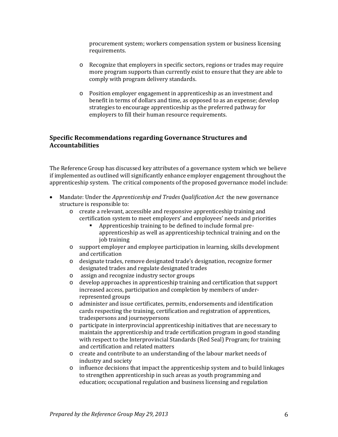procurement system; workers compensation system or business licensing requirements.

- o Recognize that employers in specific sectors, regions or trades may require more program supports than currently exist to ensure that they are able to comply with program delivery standards.
- o Position employer engagement in apprenticeship as an investment and benefit in terms of dollars and time, as opposed to as an expense; develop strategies to encourage apprenticeship as the preferred pathway for employers to fill their human resource requirements.

# **Specific Recommendations regarding Governance Structures and Accountabilities**

The Reference Group has discussed key attributes of a governance system which we believe if implemented as outlined will significantly enhance employer engagement throughout the apprenticeship system. The critical components of the proposed governance model include:

- Mandate: Under the *Apprenticeship and Trades Qualification Act* the new governance structure is responsible to:
	- o create a relevant, accessible and responsive apprenticeship training and certification system to meet employers' and employees' needs and priorities
		- Apprenticeship training to be defined to include formal preapprenticeship as well as apprenticeship technical training and on the job training
	- o support employer and employee participation in learning, skills development and certification
	- o designate trades, remove designated trade's designation, recognize former designated trades and regulate designated trades
	- o assign and recognize industry sector groups<br>
	o develop approaches in apprenticeship training
	- develop approaches in apprenticeship training and certification that support increased access, participation and completion by members of underrepresented groups
	- o administer and issue certificates, permits, endorsements and identification cards respecting the training, certification and registration of apprentices, tradespersons and journeypersons
	- o participate in interprovincial apprenticeship initiatives that are necessary to maintain the apprenticeship and trade certification program in good standing with respect to the Interprovincial Standards (Red Seal) Program; for training and certification and related matters
	- o create and contribute to an understanding of the labour market needs of industry and society
	- o influence decisions that impact the apprenticeship system and to build linkages to strengthen apprenticeship in such areas as youth programming and education; occupational regulation and business licensing and regulation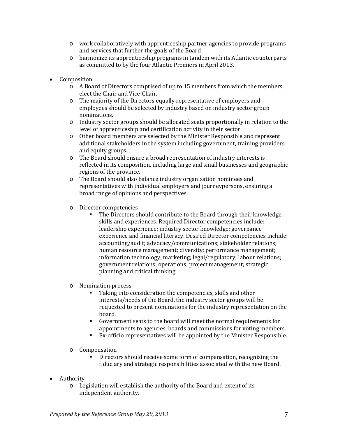- o work collaboratively with apprenticeship partner agencies to provide programs and services that further the goals of the Board
- o harmonize its apprenticeship programs in tandem with its Atlantic counterparts as committed to by the four Atlantic Premiers in April 2013.
- Composition
	- o A Board of Directors comprised of up to 15 members from which the members elect the Chair and Vice-Chair.
	- o The majority of the Directors equally representative of employers and employees should be selected by industry based on industry sector group nominations.
	- o Industry sector groups should be allocated seats proportionally in relation to the level of apprenticeship and certification activity in their sector.
	- o Other board members are selected by the Minister Responsible and represent additional stakeholders in the system including government, training providers and equity groups.
	- o The Board should ensure a broad representation of industry interests is reflected in its composition, including large and small businesses and geographic regions of the province.
	- o The Board should also balance industry organization nominees and representatives with individual employers and journeypersons, ensuring a broad range of opinions and perspectives.
	- o Director competencies
		- The Directors should contribute to the Board through their knowledge, skills and experiences. Required Director competencies include: leadership experience; industry sector knowledge; governance experience and financial literacy. Desired Director competencies include: accounting/audit; advocacy/communications; stakeholder relations; human resource management; diversity; performance management; information technology; marketing; legal/regulatory; labour relations; government relations; operations; project management; strategic planning and critical thinking.
	- o Nomination process
		- Taking into consideration the competencies, skills and other interests/needs of the Board, the industry sector groups will be requested to present nominations for the industry representation on the board.
		- Government seats to the board will meet the normal requirements for appointments to agencies, boards and commissions for voting members.
		- Ex-officio representatives will be appointed by the Minister Responsible.
	- o Compensation
		- Directors should receive some form of compensation, recognizing the fiduciary and strategic responsibilities associated with the new Board.
- Authority
	- o Legislation will establish the authority of the Board and extent of its independent authority.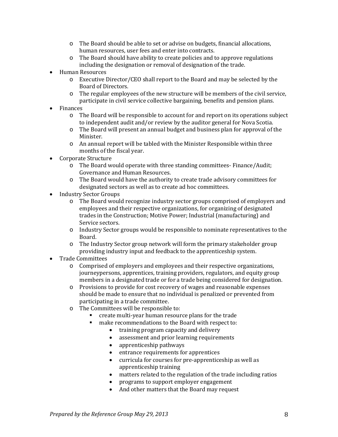- o The Board should be able to set or advise on budgets, financial allocations, human resources, user fees and enter into contracts.
- o The Board should have ability to create policies and to approve regulations including the designation or removal of designation of the trade.
- Human Resources
	- o Executive Director/CEO shall report to the Board and may be selected by the Board of Directors.
	- o The regular employees of the new structure will be members of the civil service, participate in civil service collective bargaining, benefits and pension plans.
- **Finances** 
	- o The Board will be responsible to account for and report on its operations subject to independent audit and/or review by the auditor general for Nova Scotia.
	- o The Board will present an annual budget and business plan for approval of the Minister.
	- o An annual report will be tabled with the Minister Responsible within three months of the fiscal year.
- Corporate Structure
	- o The Board would operate with three standing committees- Finance/Audit; Governance and Human Resources.
	- o The Board would have the authority to create trade advisory committees for designated sectors as well as to create ad hoc committees.
- Industry Sector Groups
	- o The Board would recognize industry sector groups comprised of employers and employees and their respective organizations, for organizing of designated trades in the Construction; Motive Power; Industrial (manufacturing) and Service sectors.
	- o Industry Sector groups would be responsible to nominate representatives to the Board.
	- o The Industry Sector group network will form the primary stakeholder group providing industry input and feedback to the apprenticeship system.
- Trade Committees<br>
o Comnrised
	- Comprised of employers and employees and their respective organizations, journeypersons, apprentices, training providers, regulators, and equity group members in a designated trade or for a trade being considered for designation.
	- o Provisions to provide for cost recovery of wages and reasonable expenses should be made to ensure that no individual is penalized or prevented from participating in a trade committee.
	- o The Committees will be responsible to:
		- create multi-year human resource plans for the trade<br>■ make recommendations to the Board with respect to:
		- make recommendations to the Board with respect to:
			- training program capacity and delivery
			- assessment and prior learning requirements
			- apprenticeship pathways
			- entrance requirements for apprentices
			- curricula for courses for pre-apprenticeship as well as apprenticeship training
			- matters related to the regulation of the trade including ratios
			- programs to support employer engagement
			- And other matters that the Board may request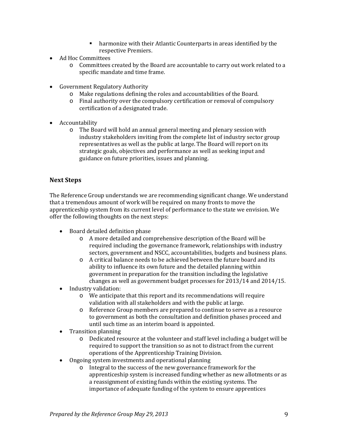- harmonize with their Atlantic Counterparts in areas identified by the respective Premiers.
- Ad Hoc Committees
	- o Committees created by the Board are accountable to carry out work related to a specific mandate and time frame.
- Government Regulatory Authority
	- o Make regulations defining the roles and accountabilities of the Board.
	- o Final authority over the compulsory certification or removal of compulsory certification of a designated trade.
- Accountability
	- o The Board will hold an annual general meeting and plenary session with industry stakeholders inviting from the complete list of industry sector group representatives as well as the public at large. The Board will report on its strategic goals, objectives and performance as well as seeking input and guidance on future priorities, issues and planning.

# **Next Steps**

The Reference Group understands we are recommending significant change. We understand that a tremendous amount of work will be required on many fronts to move the apprenticeship system from its current level of performance to the state we envision. We offer the following thoughts on the next steps:

- Board detailed definition phase
	- o A more detailed and comprehensive description of the Board will be required including the governance framework, relationships with industry sectors, government and NSCC, accountabilities, budgets and business plans.
	- o A critical balance needs to be achieved between the future board and its ability to influence its own future and the detailed planning within government in preparation for the transition including the legislative changes as well as government budget processes for 2013/14 and 2014/15.
- Industry validation:
	- o We anticipate that this report and its recommendations will require validation with all stakeholders and with the public at large.
	- o Reference Group members are prepared to continue to serve as a resource to government as both the consultation and definition phases proceed and until such time as an interim board is appointed.
- Transition planning
	- o Dedicated resource at the volunteer and staff level including a budget will be required to support the transition so as not to distract from the current operations of the Apprenticeship Training Division.
- Ongoing system investments and operational planning<br>
o Integral to the success of the new governance free
	- Integral to the success of the new governance framework for the apprenticeship system is increased funding whether as new allotments or as a reassignment of existing funds within the existing systems. The importance of adequate funding of the system to ensure apprentices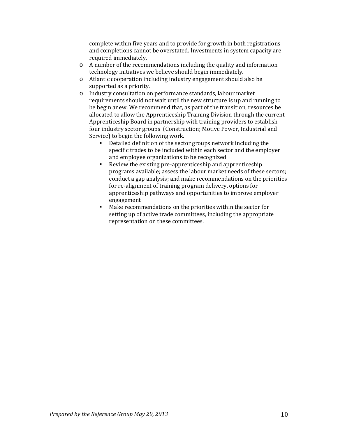complete within five years and to provide for growth in both registrations and completions cannot be overstated. Investments in system capacity are required immediately.

- o A number of the recommendations including the quality and information technology initiatives we believe should begin immediately.
- o Atlantic cooperation including industry engagement should also be supported as a priority.
- o Industry consultation on performance standards, labour market requirements should not wait until the new structure is up and running to be begin anew. We recommend that, as part of the transition, resources be allocated to allow the Apprenticeship Training Division through the current Apprenticeship Board in partnership with training providers to establish four industry sector groups (Construction; Motive Power, Industrial and Service) to begin the following work.
	- Detailed definition of the sector groups network including the specific trades to be included within each sector and the employer and employee organizations to be recognized
	- Review the existing pre-apprenticeship and apprenticeship programs available; assess the labour market needs of these sectors; conduct a gap analysis; and make recommendations on the priorities for re-alignment of training program delivery, options for apprenticeship pathways and opportunities to improve employer engagement
	- Make recommendations on the priorities within the sector for setting up of active trade committees, including the appropriate representation on these committees.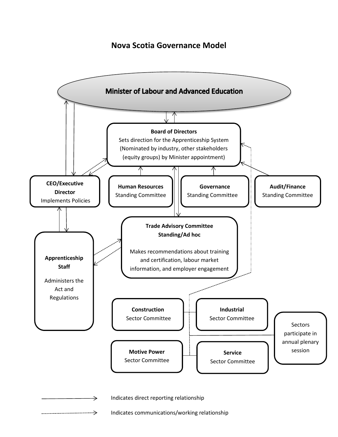# **Nova Scotia Governance Model**

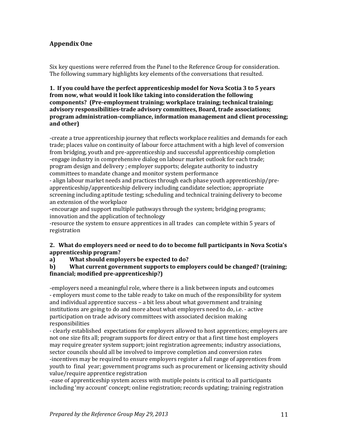# **Appendix One**

Six key questions were referred from the Panel to the Reference Group for consideration. The following summary highlights key elements of the conversations that resulted.

**1. If you could have the perfect apprenticeship model for Nova Scotia 3 to 5 years from now, what would it look like taking into consideration the following components? (Pre-employment training; workplace training; technical training; advisory responsibilities-trade advisory committees, Board, trade associations; program administration-compliance, information management and client processing; and other)**

-create a true apprenticeship journey that reflects workplace realities and demands for each trade; places value on continuity of labour force attachment with a high level of conversion from bridging, youth and pre-apprenticeship and successful apprenticeship completion -engage industry in comprehensive dialog on labour market outlook for each trade; program design and delivery ; employer supports; delegate authority to industry committees to mandate change and monitor system performance

- align labour market needs and practices through each phase youth apprenticeship/preapprenticeship/apprenticeship delivery including candidate selection; appropriate screening including aptitude testing; scheduling and technical training delivery to become an extension of the workplace

-encourage and support multiple pathways through the system; bridging programs; innovation and the application of technology

-resource the system to ensure apprentices in all trades can complete within 5 years of registration

### **2. What do employers need or need to do to become full participants in Nova Scotia's apprenticeship program?**

**a) What should employers be expected to do?**

**b) What current government supports to employers could be changed? (training; financial; modified pre-apprenticeship?)**

-employers need a meaningful role, where there is a link between inputs and outcomes - employers must come to the table ready to take on much of the responsibility for system and individual apprentice success – a bit less about what government and training institutions are going to do and more about what employers need to do, i.e. - active participation on trade advisory committees with associated decision making responsibilities

- clearly established expectations for employers allowed to host apprentices; employers are not one size fits all; program supports for direct entry or that a first time host employers may require greater system support; joint registration agreements; industry associations, sector councils should all be involved to improve completion and conversion rates -incentives may be required to ensure employers register a full range of apprentices from youth to final year; government programs such as procurement or licensing activity should value/require apprentice registration

-ease of apprenticeship system access with mutiple points is critical to all participants including 'my account' concept; online registration; records updating; training registration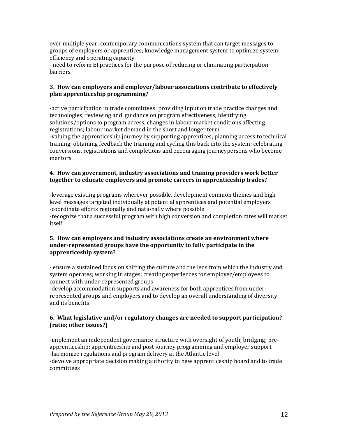over multiple year; contemporary communications system that can target messages to groups of employers or apprentices; knowledge management system to optimize system efficiency and operating capacity

- need to reform EI practices for the purpose of reducing or eliminating participation barriers

# **3. How can employers and employer/labour associations contribute to effectively plan apprenticeship programming?**

-active participation in trade committees; providing input on trade practice changes and technologies; reviewing and guidance on program effectiveness; identifying solutions/options to program access, changes in labour market conditions affecting registrations; labour market demand in the short and longer term -valuing the apprenticeship journey by supporting apprentices; planning access to technical training; obtaining feedback the training and cycling this back into the system; celebrating conversions, registrations and completions and encouraging journeypersons who become mentors

# **4. How can government, industry associations and training providers work better together to educate employers and promote careers in apprenticeship trades?**

-leverage existing programs wherever possible, development common themes and high level messages targeted individually at potential apprentices and potential employers -coordinate efforts regionally and nationally where possible -recognize that a successful program with high conversion and completion rates will market itself

# **5. How can employers and industry associations create an environment where under-represented groups have the opportunity to fully participate in the apprenticeship system?**

- ensure a sustained focus on shifting the culture and the lens from which the industry and system operates; working in stages; creating experiences for employer/employees to connect with under-represented groups

-develop accommodation supports and awareness for both apprentices from underrepresented groups and employers and to develop an overall understanding of diversity and its benefits

# **6. What legislative and/or regulatory changes are needed to support participation? (ratio; other issues?)**

-implement an independent governance structure with oversight of youth; bridging; preapprenticeship; apprenticeship and post journey programming and employer support -harmonize regulations and program delivery at the Atlantic level -devolve appropriate decision making authority to new apprenticeship board and to trade committees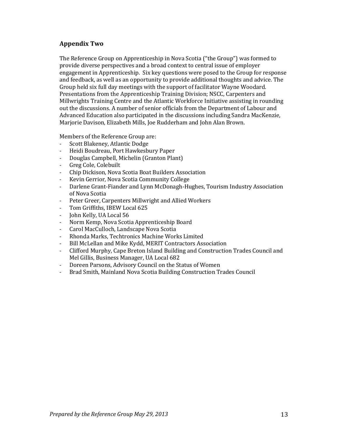# **Appendix Two**

The Reference Group on Apprenticeship in Nova Scotia ("the Group") was formed to provide diverse perspectives and a broad context to central issue of employer engagement in Apprenticeship. Six key questions were posed to the Group for response and feedback, as well as an opportunity to provide additional thoughts and advice. The Group held six full day meetings with the support of facilitator Wayne Woodard. Presentations from the Apprenticeship Training Division; NSCC, Carpenters and Millwrights Training Centre and the Atlantic Workforce Initiative assisting in rounding out the discussions. A number of senior officials from the Department of Labour and Advanced Education also participated in the discussions including Sandra MacKenzie, Marjorie Davison, Elizabeth Mills, Joe Rudderham and John Alan Brown.

Members of the Reference Group are:<br>- Scott Blakenev. Atlantic Dodge

- Scott Blakeney, Atlantic Dodge<br>- Heidi Boudreau, Port Hawkesh
- Heidi Boudreau, Port Hawkesbury Paper
- Douglas Campbell, Michelin (Granton Plant)<br>- Greg Cole Colebuilt
- Greg Cole, Colebuilt<br>- Chin Dickison, Nova
- Chip Dickison, Nova Scotia Boat Builders Association
- Kevin Gerrior, Nova Scotia Community College
- Darlene Grant-Fiander and Lynn McDonagh-Hughes, Tourism Industry Association of Nova Scotia
- Peter Greer, Carpenters Millwright and Allied Workers<br>- Tom Griffiths, IBEW Local 625
- Tom Griffiths, IBEW Local 625
- John Kelly, UA Local 56
- Norm Kemp, Nova Scotia Apprenticeship Board<br>- Carol MacCulloch Landscane Nova Scotia
- Carol MacCulloch, Landscape Nova Scotia
- Rhonda Marks, Techtronics Machine Works Limited
- Bill McLellan and Mike Kydd, MERIT Contractors Association
- Clifford Murphy, Cape Breton Island Building and Construction Trades Council and Mel Gillis, Business Manager, UA Local 682
- Doreen Parsons, Advisory Council on the Status of Women<br>- Brad Smith, Mainland Nova Scotia Building Construction Ti
- Brad Smith, Mainland Nova Scotia Building Construction Trades Council